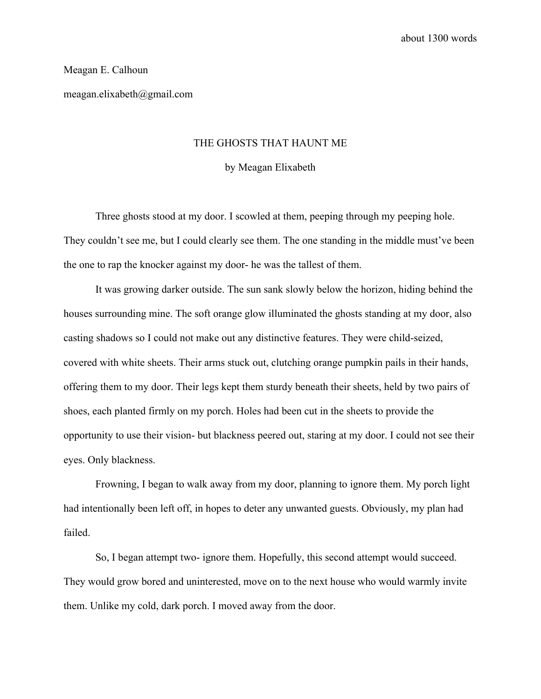## Meagan E. Calhoun

meagan.elixabeth@gmail.com

## THE GHOSTS THAT HAUNT ME

#### by Meagan Elixabeth

Three ghosts stood at my door. I scowled at them, peeping through my peeping hole. They couldn't see me, but I could clearly see them. The one standing in the middle must've been the one to rap the knocker against my door- he was the tallest of them.

It was growing darker outside. The sun sank slowly below the horizon, hiding behind the houses surrounding mine. The soft orange glow illuminated the ghosts standing at my door, also casting shadows so I could not make out any distinctive features. They were child-seized, covered with white sheets. Their arms stuck out, clutching orange pumpkin pails in their hands, offering them to my door. Their legs kept them sturdy beneath their sheets, held by two pairs of shoes, each planted firmly on my porch. Holes had been cut in the sheets to provide the opportunity to use their vision- but blackness peered out, staring at my door. I could not see their eyes. Only blackness.

Frowning, I began to walk away from my door, planning to ignore them. My porch light had intentionally been left off, in hopes to deter any unwanted guests. Obviously, my plan had failed.

So, I began attempt two- ignore them. Hopefully, this second attempt would succeed. They would grow bored and uninterested, move on to the next house who would warmly invite them. Unlike my cold, dark porch. I moved away from the door.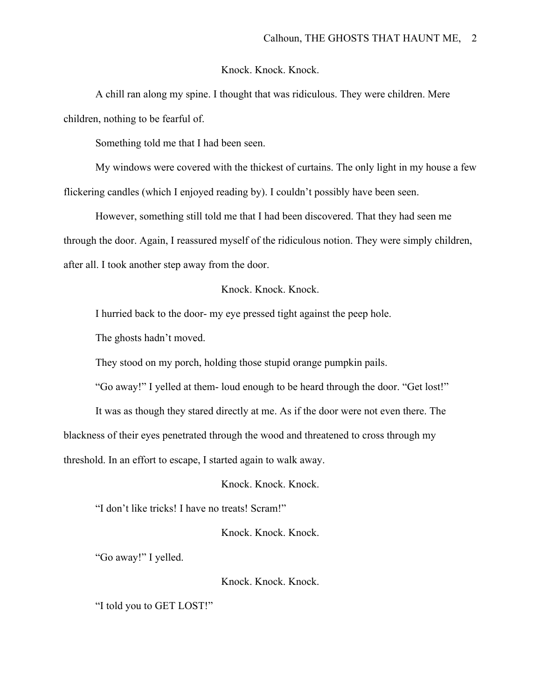Knock. Knock. Knock.

A chill ran along my spine. I thought that was ridiculous. They were children. Mere children, nothing to be fearful of.

Something told me that I had been seen.

My windows were covered with the thickest of curtains. The only light in my house a few flickering candles (which I enjoyed reading by). I couldn't possibly have been seen.

However, something still told me that I had been discovered. That they had seen me through the door. Again, I reassured myself of the ridiculous notion. They were simply children, after all. I took another step away from the door.

# Knock. Knock. Knock.

I hurried back to the door- my eye pressed tight against the peep hole.

The ghosts hadn't moved.

They stood on my porch, holding those stupid orange pumpkin pails.

"Go away!" I yelled at them- loud enough to be heard through the door. "Get lost!"

It was as though they stared directly at me. As if the door were not even there. The

blackness of their eyes penetrated through the wood and threatened to cross through my

threshold. In an effort to escape, I started again to walk away.

Knock. Knock. Knock.

"I don't like tricks! I have no treats! Scram!"

Knock. Knock. Knock.

"Go away!" I yelled.

Knock. Knock. Knock.

"I told you to GET LOST!"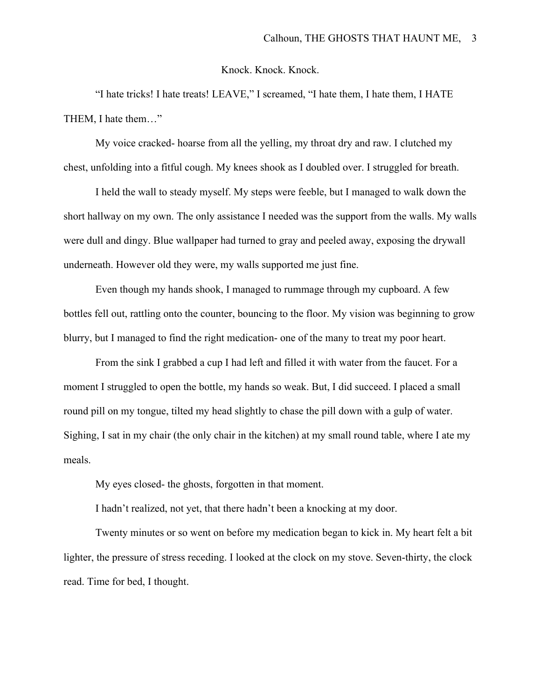Knock. Knock. Knock.

"I hate tricks! I hate treats! LEAVE," I screamed, "I hate them, I hate them, I HATE THEM, I hate them…"

My voice cracked- hoarse from all the yelling, my throat dry and raw. I clutched my chest, unfolding into a fitful cough. My knees shook as I doubled over. I struggled for breath.

I held the wall to steady myself. My steps were feeble, but I managed to walk down the short hallway on my own. The only assistance I needed was the support from the walls. My walls were dull and dingy. Blue wallpaper had turned to gray and peeled away, exposing the drywall underneath. However old they were, my walls supported me just fine.

Even though my hands shook, I managed to rummage through my cupboard. A few bottles fell out, rattling onto the counter, bouncing to the floor. My vision was beginning to grow blurry, but I managed to find the right medication- one of the many to treat my poor heart.

From the sink I grabbed a cup I had left and filled it with water from the faucet. For a moment I struggled to open the bottle, my hands so weak. But, I did succeed. I placed a small round pill on my tongue, tilted my head slightly to chase the pill down with a gulp of water. Sighing, I sat in my chair (the only chair in the kitchen) at my small round table, where I ate my meals.

My eyes closed- the ghosts, forgotten in that moment.

I hadn't realized, not yet, that there hadn't been a knocking at my door.

Twenty minutes or so went on before my medication began to kick in. My heart felt a bit lighter, the pressure of stress receding. I looked at the clock on my stove. Seven-thirty, the clock read. Time for bed, I thought.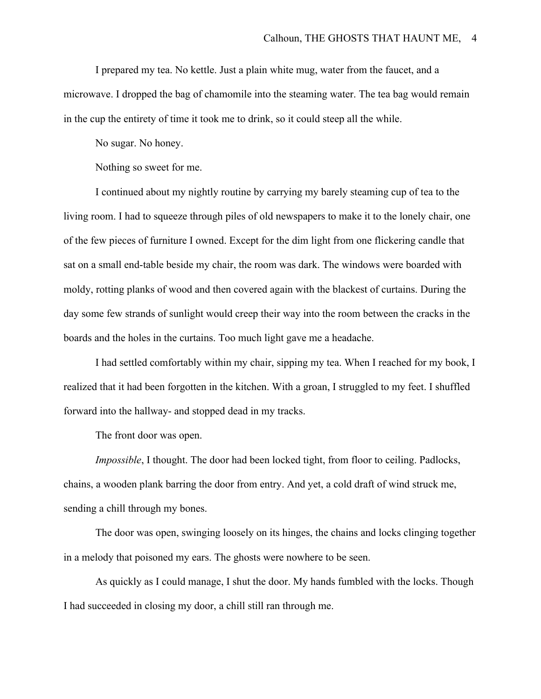I prepared my tea. No kettle. Just a plain white mug, water from the faucet, and a microwave. I dropped the bag of chamomile into the steaming water. The tea bag would remain in the cup the entirety of time it took me to drink, so it could steep all the while.

No sugar. No honey.

Nothing so sweet for me.

I continued about my nightly routine by carrying my barely steaming cup of tea to the living room. I had to squeeze through piles of old newspapers to make it to the lonely chair, one of the few pieces of furniture I owned. Except for the dim light from one flickering candle that sat on a small end-table beside my chair, the room was dark. The windows were boarded with moldy, rotting planks of wood and then covered again with the blackest of curtains. During the day some few strands of sunlight would creep their way into the room between the cracks in the boards and the holes in the curtains. Too much light gave me a headache.

I had settled comfortably within my chair, sipping my tea. When I reached for my book, I realized that it had been forgotten in the kitchen. With a groan, I struggled to my feet. I shuffled forward into the hallway- and stopped dead in my tracks.

The front door was open.

*Impossible*, I thought. The door had been locked tight, from floor to ceiling. Padlocks, chains, a wooden plank barring the door from entry. And yet, a cold draft of wind struck me, sending a chill through my bones.

The door was open, swinging loosely on its hinges, the chains and locks clinging together in a melody that poisoned my ears. The ghosts were nowhere to be seen.

As quickly as I could manage, I shut the door. My hands fumbled with the locks. Though I had succeeded in closing my door, a chill still ran through me.